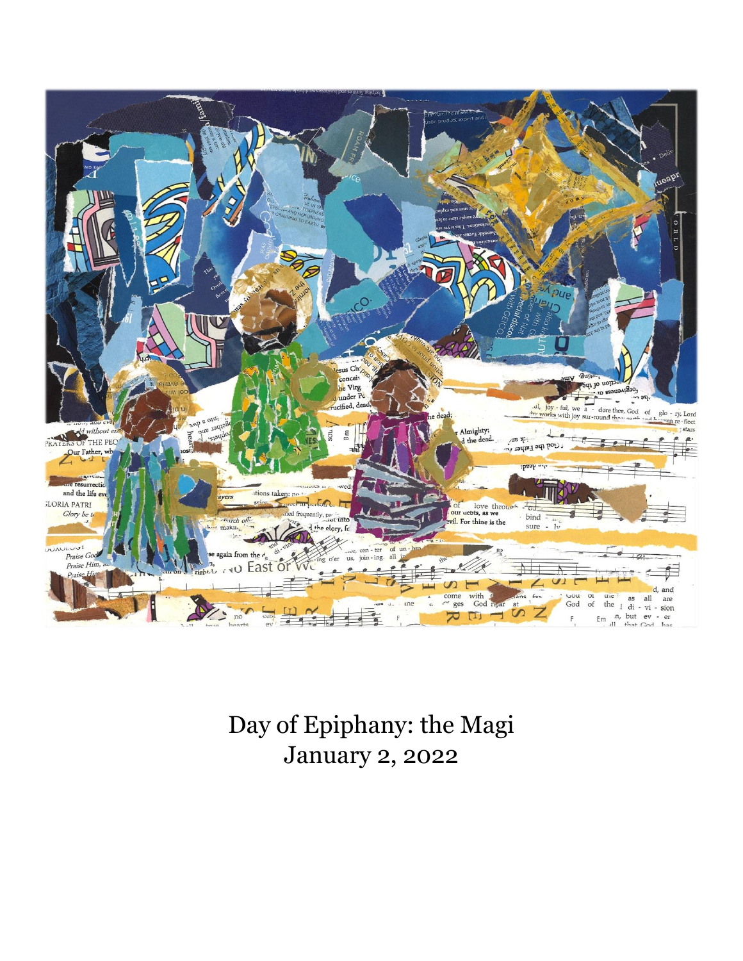

Day of Epiphany: the Magi January 2, 2022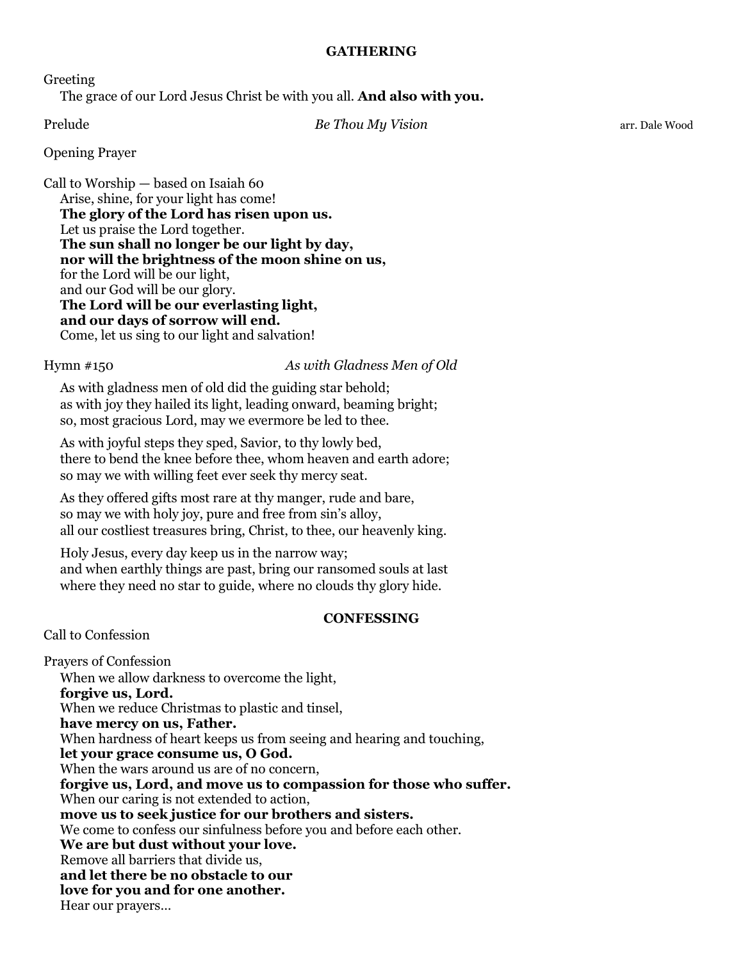# **GATHERING**

Greeting

The grace of our Lord Jesus Christ be with you all. **And also with you.**

Prelude *Be Thou My Vision* arr. Dale Wood

# Opening Prayer

Call to Worship — based on Isaiah 60 Arise, shine, for your light has come! **The glory of the Lord has risen upon us.** Let us praise the Lord together. **The sun shall no longer be our light by day, nor will the brightness of the moon shine on us,** for the Lord will be our light, and our God will be our glory. **The Lord will be our everlasting light, and our days of sorrow will end.** Come, let us sing to our light and salvation!

Hymn #150 *As with Gladness Men of Old*

As with gladness men of old did the guiding star behold; as with joy they hailed its light, leading onward, beaming bright; so, most gracious Lord, may we evermore be led to thee.

As with joyful steps they sped, Savior, to thy lowly bed, there to bend the knee before thee, whom heaven and earth adore; so may we with willing feet ever seek thy mercy seat.

As they offered gifts most rare at thy manger, rude and bare, so may we with holy joy, pure and free from sin's alloy, all our costliest treasures bring, Christ, to thee, our heavenly king.

Holy Jesus, every day keep us in the narrow way; and when earthly things are past, bring our ransomed souls at last where they need no star to guide, where no clouds thy glory hide.

# **CONFESSING**

Call to Confession

Prayers of Confession When we allow darkness to overcome the light, **forgive us, Lord.** When we reduce Christmas to plastic and tinsel, **have mercy on us, Father.** When hardness of heart keeps us from seeing and hearing and touching, **let your grace consume us, O God.** When the wars around us are of no concern. **forgive us, Lord, and move us to compassion for those who suffer.** When our caring is not extended to action, **move us to seek justice for our brothers and sisters.** We come to confess our sinfulness before you and before each other. **We are but dust without your love.** Remove all barriers that divide us, **and let there be no obstacle to our love for you and for one another.** Hear our prayers…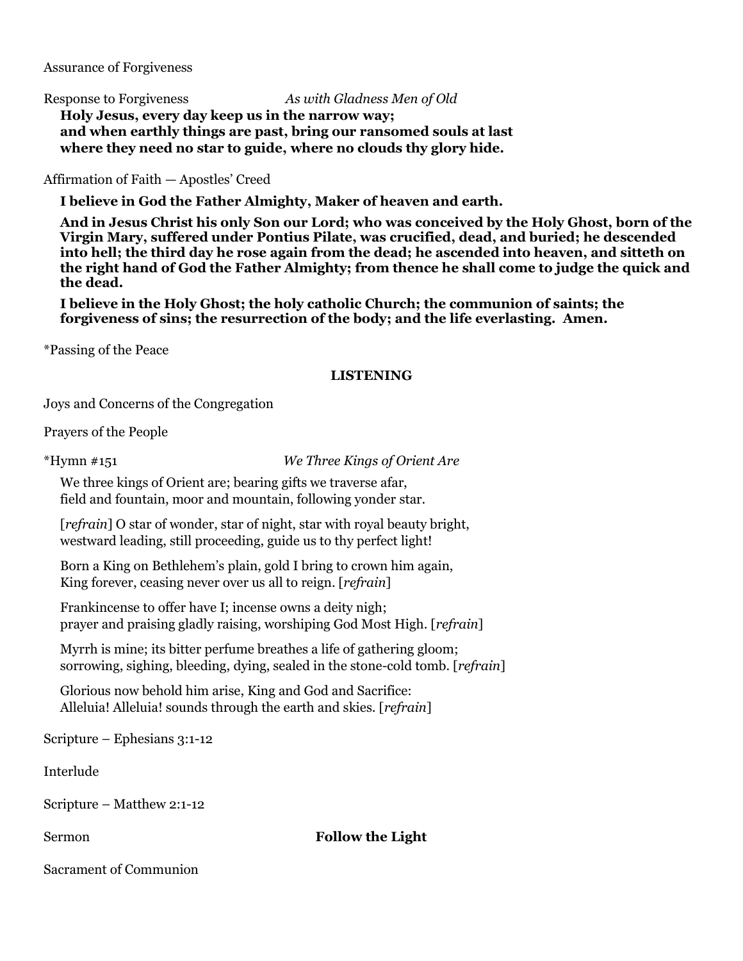Assurance of Forgiveness

Response to Forgiveness *As with Gladness Men of Old* **Holy Jesus, every day keep us in the narrow way; and when earthly things are past, bring our ransomed souls at last where they need no star to guide, where no clouds thy glory hide.**

Affirmation of Faith — Apostles' Creed

**I believe in God the Father Almighty, Maker of heaven and earth.**

**And in Jesus Christ his only Son our Lord; who was conceived by the Holy Ghost, born of the Virgin Mary, suffered under Pontius Pilate, was crucified, dead, and buried; he descended into hell; the third day he rose again from the dead; he ascended into heaven, and sitteth on the right hand of God the Father Almighty; from thence he shall come to judge the quick and the dead.**

**I believe in the Holy Ghost; the holy catholic Church; the communion of saints; the forgiveness of sins; the resurrection of the body; and the life everlasting. Amen.**

\*Passing of the Peace

#### **LISTENING**

Joys and Concerns of the Congregation

Prayers of the People

\*Hymn #151 *We Three Kings of Orient Are*

We three kings of Orient are; bearing gifts we traverse afar, field and fountain, moor and mountain, following yonder star.

[*refrain*] O star of wonder, star of night, star with royal beauty bright, westward leading, still proceeding, guide us to thy perfect light!

Born a King on Bethlehem's plain, gold I bring to crown him again, King forever, ceasing never over us all to reign. [*refrain*]

Frankincense to offer have I; incense owns a deity nigh; prayer and praising gladly raising, worshiping God Most High. [*refrain*]

Myrrh is mine; its bitter perfume breathes a life of gathering gloom; sorrowing, sighing, bleeding, dying, sealed in the stone-cold tomb. [*refrain*]

Glorious now behold him arise, King and God and Sacrifice: Alleluia! Alleluia! sounds through the earth and skies. [*refrain*]

Scripture – Ephesians 3:1-12

Interlude

Scripture – Matthew 2:1-12

# Sermon **Follow the Light**

Sacrament of Communion